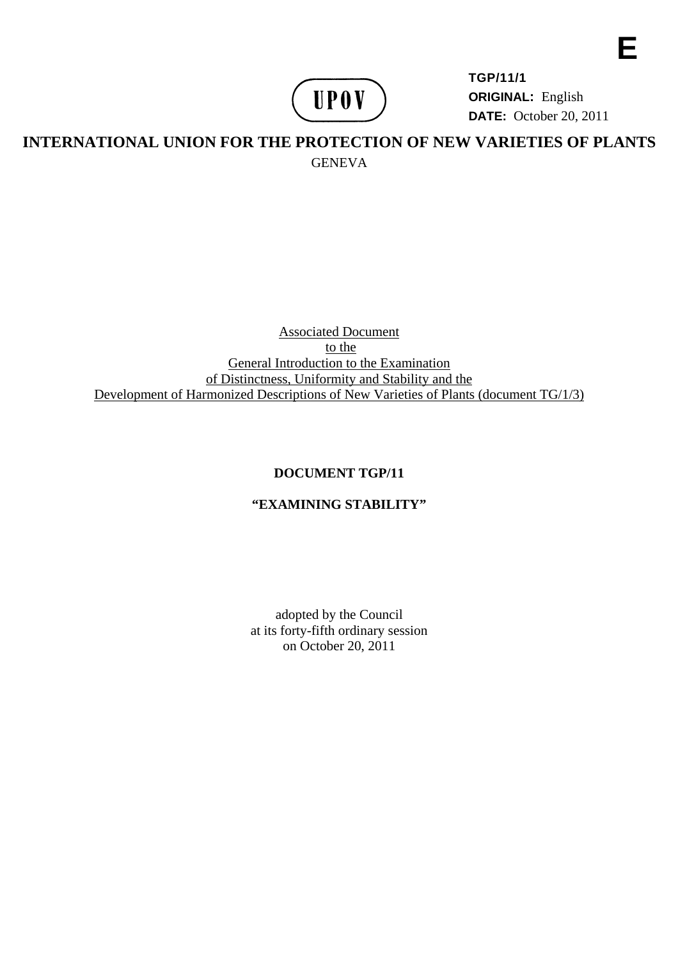

**TGP/11/1 ORIGINAL:** English **DATE:** October 20, 2011 **E** 

# **INTERNATIONAL UNION FOR THE PROTECTION OF NEW VARIETIES OF PLANTS GENEVA**

Associated Document to the General Introduction to the Examination of Distinctness, Uniformity and Stability and the Development of Harmonized Descriptions of New Varieties of Plants (document TG/1/3)

### **DOCUMENT TGP/11**

### **"EXAMINING STABILITY"**

adopted by the Council at its forty-fifth ordinary session on October 20, 2011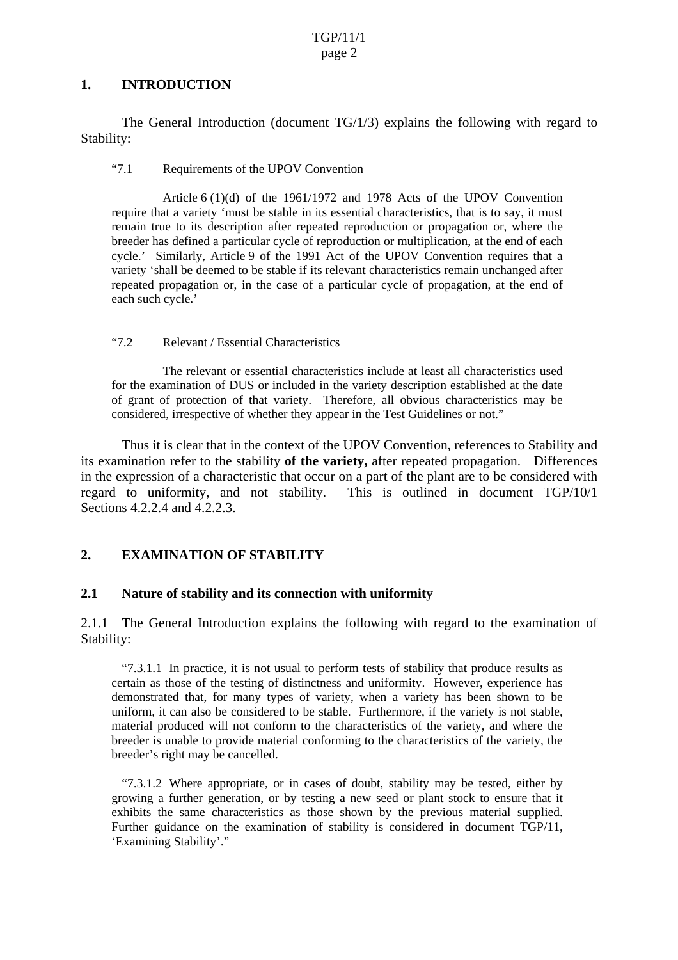#### **1. INTRODUCTION**

 The General Introduction (document TG/1/3) explains the following with regard to Stability:

"7.1 Requirements of the UPOV Convention

 Article 6 (1)(d) of the 1961/1972 and 1978 Acts of the UPOV Convention require that a variety 'must be stable in its essential characteristics, that is to say, it must remain true to its description after repeated reproduction or propagation or, where the breeder has defined a particular cycle of reproduction or multiplication, at the end of each cycle.' Similarly, Article 9 of the 1991 Act of the UPOV Convention requires that a variety 'shall be deemed to be stable if its relevant characteristics remain unchanged after repeated propagation or, in the case of a particular cycle of propagation, at the end of each such cycle.'

#### "7.2 Relevant / Essential Characteristics

 The relevant or essential characteristics include at least all characteristics used for the examination of DUS or included in the variety description established at the date of grant of protection of that variety. Therefore, all obvious characteristics may be considered, irrespective of whether they appear in the Test Guidelines or not."

 Thus it is clear that in the context of the UPOV Convention, references to Stability and its examination refer to the stability **of the variety,** after repeated propagation. Differences in the expression of a characteristic that occur on a part of the plant are to be considered with regard to uniformity, and not stability. This is outlined in document TGP/10/1 Sections 4.2.2.4 and 4.2.2.3.

### **2. EXAMINATION OF STABILITY**

### **2.1 Nature of stability and its connection with uniformity**

2.1.1 The General Introduction explains the following with regard to the examination of Stability:

"7.3.1.1 In practice, it is not usual to perform tests of stability that produce results as certain as those of the testing of distinctness and uniformity. However, experience has demonstrated that, for many types of variety, when a variety has been shown to be uniform, it can also be considered to be stable. Furthermore, if the variety is not stable, material produced will not conform to the characteristics of the variety, and where the breeder is unable to provide material conforming to the characteristics of the variety, the breeder's right may be cancelled.

"7.3.1.2 Where appropriate, or in cases of doubt, stability may be tested, either by growing a further generation, or by testing a new seed or plant stock to ensure that it exhibits the same characteristics as those shown by the previous material supplied. Further guidance on the examination of stability is considered in document TGP/11, 'Examining Stability'."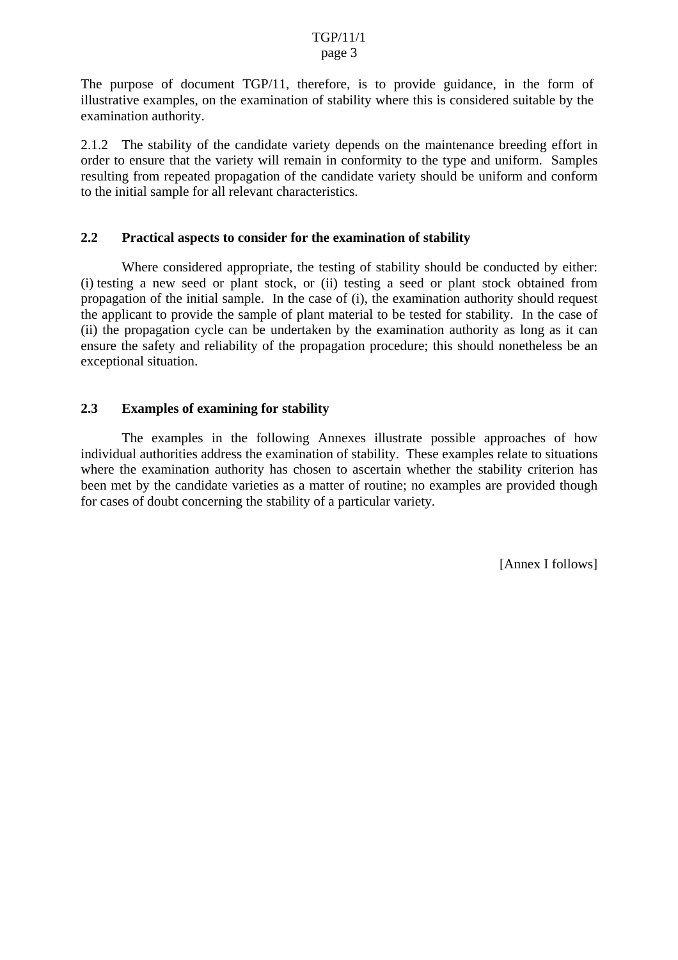#### TGP/11/1 page 3

The purpose of document TGP/11, therefore, is to provide guidance, in the form of illustrative examples, on the examination of stability where this is considered suitable by the examination authority.

2.1.2 The stability of the candidate variety depends on the maintenance breeding effort in order to ensure that the variety will remain in conformity to the type and uniform. Samples resulting from repeated propagation of the candidate variety should be uniform and conform to the initial sample for all relevant characteristics.

#### **2.2 Practical aspects to consider for the examination of stability**

Where considered appropriate, the testing of stability should be conducted by either: (i) testing a new seed or plant stock, or (ii) testing a seed or plant stock obtained from propagation of the initial sample. In the case of (i), the examination authority should request the applicant to provide the sample of plant material to be tested for stability. In the case of (ii) the propagation cycle can be undertaken by the examination authority as long as it can ensure the safety and reliability of the propagation procedure; this should nonetheless be an exceptional situation.

### **2.3 Examples of examining for stability**

The examples in the following Annexes illustrate possible approaches of how individual authorities address the examination of stability. These examples relate to situations where the examination authority has chosen to ascertain whether the stability criterion has been met by the candidate varieties as a matter of routine; no examples are provided though for cases of doubt concerning the stability of a particular variety.

[Annex I follows]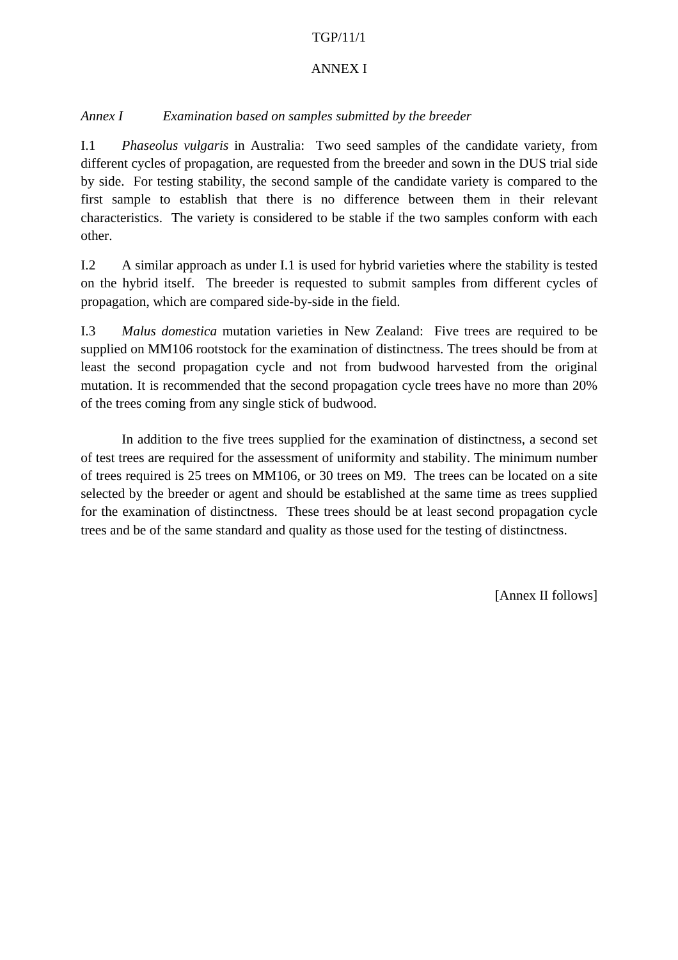### TGP/11/1

### ANNEX I

## *Annex I Examination based on samples submitted by the breeder*

I.1 *Phaseolus vulgaris* in Australia: Two seed samples of the candidate variety, from different cycles of propagation, are requested from the breeder and sown in the DUS trial side by side. For testing stability, the second sample of the candidate variety is compared to the first sample to establish that there is no difference between them in their relevant characteristics. The variety is considered to be stable if the two samples conform with each other.

I.2 A similar approach as under I.1 is used for hybrid varieties where the stability is tested on the hybrid itself. The breeder is requested to submit samples from different cycles of propagation, which are compared side-by-side in the field.

I.3 *Malus domestica* mutation varieties in New Zealand: Five trees are required to be supplied on MM106 rootstock for the examination of distinctness. The trees should be from at least the second propagation cycle and not from budwood harvested from the original mutation. It is recommended that the second propagation cycle trees have no more than 20% of the trees coming from any single stick of budwood.

In addition to the five trees supplied for the examination of distinctness, a second set of test trees are required for the assessment of uniformity and stability. The minimum number of trees required is 25 trees on MM106, or 30 trees on M9. The trees can be located on a site selected by the breeder or agent and should be established at the same time as trees supplied for the examination of distinctness. These trees should be at least second propagation cycle trees and be of the same standard and quality as those used for the testing of distinctness.

[Annex II follows]